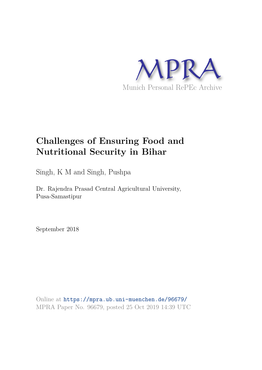

# **Challenges of Ensuring Food and Nutritional Security in Bihar**

Singh, K M and Singh, Pushpa

Dr. Rajendra Prasad Central Agricultural University, Pusa-Samastipur

September 2018

Online at https://mpra.ub.uni-muenchen.de/96679/ MPRA Paper No. 96679, posted 25 Oct 2019 14:39 UTC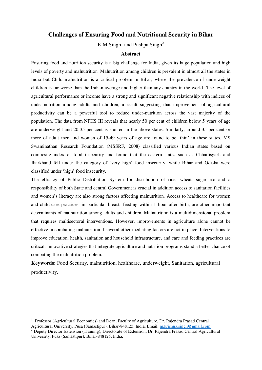# **Challenges of Ensuring Food and Nutritional Security in Bihar**

K.M.Singh<sup>1</sup> and Pushpa Singh<sup>2</sup>

# **Abstract**

Ensuring food and nutrition security is a big challenge for India, given its huge population and high levels of poverty and malnutrition. Malnutrition among children is prevalent in almost all the states in India but Child malnutrition is a critical problem in Bihar, where the prevalence of underweight children is far worse than the Indian average and higher than any country in the world The level of agricultural performance or income have a strong and significant negative relationship with indices of under-nutrition among adults and children, a result suggesting that improvement of agricultural productivity can be a powerful tool to reduce under-nutrition across the vast majority of the population. The data from NFHS III reveals that nearly 50 per cent of children below 5 years of age are underweight and 20-35 per cent is stunted in the above states. Similarly, around 35 per cent or more of adult men and women of 15-49 years of age are found to be 'thin' in these states. MS Swaminathan Research Foundation (MSSRF, 2008) classified various Indian states based on composite index of food insecurity and found that the eastern states such as Chhattisgarh and Jharkhand fell under the category of 'very high' food insecurity, while Bihar and Odisha were classified under 'high' food insecurity.

The efficacy of Public Distribution System for distribution of rice, wheat, sugar etc and a responsibility of both State and central Government is crucial in addition access to sanitation facilities and women's literacy are also strong factors affecting malnutrition. Access to healthcare for women and child-care practices, in particular breast- feeding within 1 hour after birth, are other important determinants of malnutrition among adults and children. Malnutrition is a multidimensional problem that requires multisectoral interventions. However, improvements in agriculture alone cannot be effective in combating malnutrition if several other mediating factors are not in place. Interventions to improve education, health, sanitation and household infrastructure, and care and feeding practices are critical. Innovative strategies that integrate agriculture and nutrition programs stand a better chance of combating the malnutrition problem.

**Keywords:** Food Security, malnutrition, healthcare, underweight, Sanitation, agricultural productivity.

 $\overline{a}$ 

<sup>1</sup> Professor (Agricultural Economics) and Dean, Faculty of Agriculture, Dr. Rajendra Prasad Central Agricultural University, Pusa (Samastipur), Bihar-848125, India, Email: m.krishna.singh@gmail.com

<sup>&</sup>lt;sup>2</sup> Deputy Director Extension (Training), Directorate of Extension, Dr. Rajendra Prasad Central Agricultural University, Pusa (Samastipur), Bihar-848125, India,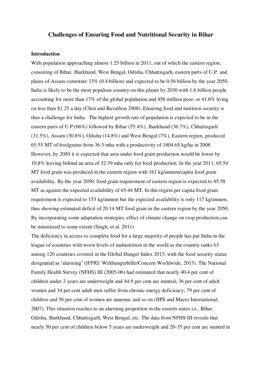# **Challenges of Ensuring Food and Nutritional Security in Bihar**

### **Introduction**

With population approaching almost 1.25 billion in 2011, out of which the eastern region; consisting of Bihar, Jharkhand, West Bengal, Odisha, Chhattisgarh, eastern parts of U.P. and plains of Assam constitute 33% (0.4 billion) and expected to be 0.56 billion by the year 2050. India is likely to be the most populous country on this planet by 2030 with 1.6 billion people accounting for more than 17% of the global population and 456 million poor, or 41.6% living on less than \$1.25 a day (Chen and Ravallion 2008). Ensuring food and nutrition security is thus a challenge for India. The highest growth rate of population is expected to be in the eastern parts of U.P.(66%) followed by Bihar (55.4%), Jharkhand (36.7%), Chhattisgarh (31.5%), Assam (30.8%), Odisha (14.8%) and West Bengal (7%). Eastern region, produced 65.55 MT of foodgrains from 36.3 mha with a productivity of 1804.65 kg/ha in 2008. However, by 2050 it is expected that area under food grain production would be lower by 10.8% leaving behind an area of 32.39 mha only for food production. In the year 2011, 65.54 MT food grain was produced in the eastern region with 161 kg/annum/capita food grain availability. By the year 2050, food grain requirement of eastern region is expected to 85.58 MT as against the expected availability of 65.44 MT. In this region per capita food grain requirement is expected to 153 kg/annum but the expected availability is only 117 kg/annum, thus showing estimated deficit of 20.14 MT food grain in the eastern region by the year 2050. By incorporating some adaptation strategies, effect of climate change on crop production can be minimized to some extent (Singh, et al. 2011)

The deficiency in access to complete food for a large majority of people has put India in the league of countries with worst levels of malnutrition in the world as the country ranks 63 among 120 countries covered in the Global Hunger Index 2013, with the food security status designated as 'alarming' (IFPRI/ Welthungerhilfe/Concern Worldwide, 2013). The National Family Health Survey (NFHS) III (2005-06) had estimated that nearly 40.4 per cent of children under 3 years are underweight and 44.9 per cent are stunted; 36 per cent of adult women and 34 per cent adult men suffer from chronic energy deficiency; 79 per cent of children and 56 per cent of women are anaemic and so on (IIPS and Macro International, 2007). This situation reaches to an alarming proportion in the eastern states i.e., Bihar, Odisha, Jharkhand, Chhattisgarh, West Bengal, etc. The data from NFHS III reveals that nearly 50 per cent of children below 5 years are underweight and 20-35 per cent are stunted in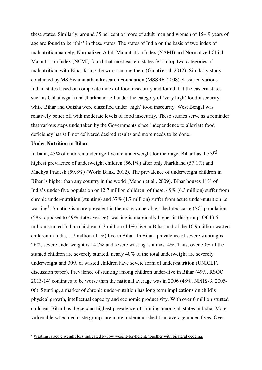these states. Similarly, around 35 per cent or more of adult men and women of 15-49 years of age are found to be 'thin' in these states. The states of India on the basis of two index of malnutrition namely, Normalized Adult Malnutrition Index (NAMI) and Normalized Child Malnutrition Index (NCMI) found that most eastern states fell in top two categories of malnutrition, with Bihar faring the worst among them (Gulati et al, 2012). Similarly study conducted by MS Swaminathan Research Foundation (MSSRF, 2008) classified various Indian states based on composite index of food insecurity and found that the eastern states such as Chhattisgarh and Jharkhand fell under the category of 'very high' food insecurity, while Bihar and Odisha were classified under 'high' food insecurity. West Bengal was relatively better off with moderate levels of food insecurity. These studies serve as a reminder that various steps undertaken by the Governments since independence to alleviate food deficiency has still not delivered desired results and more needs to be done.

### **Under Nutrition in Bihar**

 $\overline{a}$ 

In India, 43% of children under age five are underweight for their age. Bihar has the 3rd highest prevalence of underweight children (56.1%) after only Jharkhand (57.1%) and Madhya Pradesh (59.8%) (World Bank, 2012). The prevalence of underweight children in Bihar is higher than any country in the world (Menon et al., 2009). Bihar houses  $11\%$  of India's under-five population or 12.7 million children, of these, 49% (6.3 million) suffer from chronic under-nutrition (stunting) and 37% (1.7 million) suffer from acute under-nutrition i.e. wasting<sup>3</sup> -Stunting is more prevalent in the more vulnerable scheduled caste (SC) population (58% opposed to 49% state average); wasting is marginally higher in this group. Of 43.6 million stunted Indian children, 6.3 million (14%) live in Bihar and of the 16.9 million wasted children in India, 1.7 million (11%) live in Bihar. In Bihar, prevalence of severe stunting is 26%, severe underweight is 14.7% and severe wasting is almost 4%. Thus, over 50% of the stunted children are severely stunted, nearly 40% of the total underweight are severely underweight and 30% of wasted children have severe form of under-nutrition (UNICEF, discussion paper). Prevalence of stunting among children under-five in Bihar (49%, RSOC 2013-14) continues to be worse than the national average was in 2006 (48%, NFHS-3, 2005- 06). Stunting, a marker of chronic under-nutrition has long term implications on child's physical growth, intellectual capacity and economic productivity. With over 6 million stunted children, Bihar has the second highest prevalence of stunting among all states in India. More vulnerable scheduled caste groups are more undernourished than average under-fives. Over

<sup>&</sup>lt;sup>3</sup> Wasting is acute weight loss indicated by low weight-for-height, together with bilateral oedema.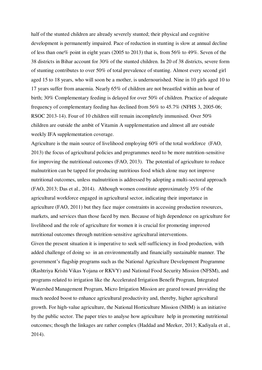half of the stunted children are already severely stunted; their physical and cognitive development is permanently impaired. Pace of reduction in stunting is slow at annual decline of less than one% point in eight years (2005 to 2013) that is, from 56% to 49%. Seven of the 38 districts in Bihar account for 30% of the stunted children. In 20 of 38 districts, severe form of stunting contributes to over 50% of total prevalence of stunting. Almost every second girl aged 15 to 18 years, who will soon be a mother, is undernourished. Nine in 10 girls aged 10 to 17 years suffer from anaemia. Nearly 65% of children are not breastfed within an hour of birth; 30% Complementary feeding is delayed for over 50% of children. Practice of adequate frequency of complementary feeding has declined from 56% to 45.7% (NFHS 3, 2005-06; RSOC 2013-14). Four of 10 children still remain incompletely immunised. Over 50% children are outside the ambit of Vitamin A supplementation and almost all are outside weekly IFA supplementation coverage.

Agriculture is the main source of livelihood employing 60% of the total workforce (FAO, 2013) the focus of agricultural policies and programmes need to be more nutrition-sensitive for improving the nutritional outcomes (FAO, 2013). The potential of agriculture to reduce malnutrition can be tapped for producing nutritious food which alone may not improve nutritional outcomes, unless malnutrition is addressed by adopting a multi-sectoral approach (FAO, 2013; Das et al., 2014). Although women constitute approximately 35% of the agricultural workforce engaged in agricultural sector, indicating their importance in agriculture (FAO, 2011) but they face major constraints in accessing production resources, markets, and services than those faced by men. Because of high dependence on agriculture for livelihood and the role of agriculture for women it is crucial for promoting improved nutritional outcomes through nutrition-sensitive agricultural interventions.

Given the present situation it is imperative to seek self-sufficiency in food production, with added challenge of doing so in an environmentally and financially sustainable manner. The government's flagship programs such as the National Agriculture Development Programme (Rashtriya Krishi Vikas Yojana or RKVY) and National Food Security Mission (NFSM), and programs related to irrigation like the Accelerated Irrigation Benefit Program, Integrated Watershed Management Program, Micro Irrigation Mission are geared toward providing the much needed boost to enhance agricultural productivity and, thereby, higher agricultural growth. For high-value agriculture, the National Horticulture Mission (NHM) is an initiative by the public sector. The paper tries to analyse how agriculture help in promoting nutritional outcomes; though the linkages are rather complex (Haddad and Meeker, 2013; Kadiyala et al., 2014).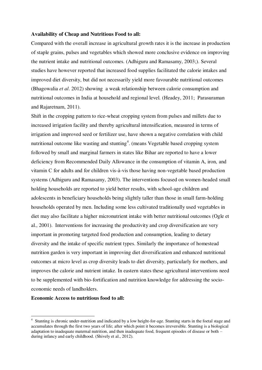#### **Availability of Cheap and Nutritious Food to all:**

Compared with the overall increase in agricultural growth rates it is the increase in production of staple grains, pulses and vegetables which showed more conclusive evidence on improving the nutrient intake and nutritional outcomes. (Adhiguru and Ramasamy, 2003;). Several studies have however reported that increased food supplies facilitated the calorie intakes and improved diet diversity, but did not necessarily yield more favourable nutritional outcomes (Bhagowalia *et al*. 2012) showing a weak relationship between calorie consumption and nutritional outcomes in India at household and regional level. (Headey, 2011; Parasuraman and Rajaretnam, 2011).

Shift in the cropping pattern to rice-wheat cropping system from pulses and millets due to increased irrigation facility and thereby agricultural intensification, measured in terms of irrigation and improved seed or fertilizer use, have shown a negative correlation with child nutritional outcome like wasting and stunting<sup>4</sup>. (means Vegetable based cropping system followed by small and marginal farmers in states like Bihar are reported to have a lower deficiency from Recommended Daily Allowance in the consumption of vitamin A, iron, and vitamin  $C$  for adults and for children vis- $\dot{a}$ -vis those having non-vegetable based production systems (Adhiguru and Ramasamy, 2003). The interventions focused on women-headed small holding households are reported to yield better results, with school-age children and adolescents in beneficiary households being slightly taller than those in small farm-holding households operated by men. Including some less cultivated traditionally used vegetables in diet may also facilitate a higher micronutrient intake with better nutritional outcomes (Ogle et al., 2001). Interventions for increasing the productivity and crop diversification are very important in promoting targeted food production and consumption, leading to dietary diversity and the intake of specific nutrient types. Similarly the importance of homestead nutrition garden is very important in improving diet diversification and enhanced nutritional outcomes at micro level as crop diversity leads to diet diversity, particularly for mothers, and improves the calorie and nutrient intake. In eastern states these agricultural interventions need to be supplemented with bio-fortification and nutrition knowledge for addressing the socioeconomic needs of landholders.

# **Economic Access to nutritious food to all:**

 $\overline{a}$ 

<sup>4</sup> Stunting is chronic under-nutrition and indicated by a low height-for-age. Stunting starts in the foetal stage and accumulates through the first two years of life; after which point it becomes irreversible. Stunting is a biological adaptation to inadequate maternal nutrition, and then inadequate food, frequent episodes of disease or both – during infancy and early childhood. (Shively et al., 2012).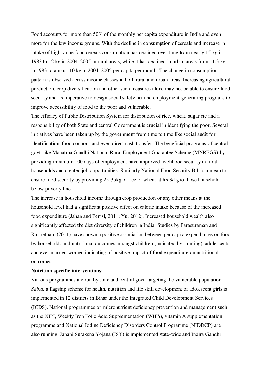Food accounts for more than 50% of the monthly per capita expenditure in India and even more for the low income groups. With the decline in consumption of cereals and increase in intake of high-value food cereals consumption has declined over time from nearly 15 kg in 1983 to 12 kg in 2004–2005 in rural areas, while it has declined in urban areas from 11.3 kg in 1983 to almost 10 kg in 2004–2005 per capita per month. The change in consumption pattern is observed across income classes in both rural and urban areas. Increasing agricultural production, crop diversification and other such measures alone may not be able to ensure food security and its imperative to design social safety net and employment-generating programs to improve accessibility of food to the poor and vulnerable.

The efficacy of Public Distribution System for distribution of rice, wheat, sugar etc and a responsibility of both State and central Government is crucial in identifying the poor. Several initiatives have been taken up by the government from time to time like social audit for identification, food coupons and even direct cash transfer. The beneficial programs of central govt. like Mahatma Gandhi National Rural Employment Guarantee Scheme (MNREGS) by providing minimum 100 days of employment have improved livelihood security in rural households and created job opportunities. Similarly National Food Security Bill is a mean to ensure food security by providing 25-35kg of rice or wheat at Rs 3/kg to those household below poverty line.

The increase in household income through crop production or any other means at the household level had a significant positive effect on calorie intake because of the increased food expenditure (Jahan and Pemsl, 2011; Yu, 2012). Increased household wealth also significantly affected the diet diversity of children in India. Studies by Parasuraman and Rajaretnam (2011) have shown a positive association between per capita expenditures on food by households and nutritional outcomes amongst children (indicated by stunting), adolescents and ever married women indicating of positive impact of food expenditure on nutritional outcomes.

#### **Nutrition specific interventions**:

Various programmes are run by state and central govt. targeting the vulnerable population. *Sabla,* a flagship scheme for health, nutrition and life skill development of adolescent girls is implemented in 12 districts in Bihar under the Integrated Child Development Services (ICDS). National programmes on micronutrient deficiency prevention and management such as the NIPI, Weekly Iron Folic Acid Supplementation (WIFS), vitamin A supplementation programme and National Iodine Deficiency Disorders Control Programme (NIDDCP) are also running. Janani Suraksha Yojana (JSY) is implemented state-wide and Indira Gandhi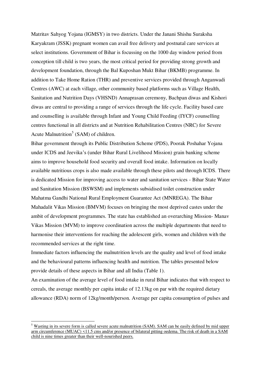Matritav Sahyog Yojana (IGMSY) in two districts. Under the Janani Shishu Suraksha Karyakram (JSSK) pregnant women can avail free delivery and postnatal care services at select institutions. Government of Bihar is focussing on the 1000 day window period from conception till child is two years, the most critical period for providing strong growth and development foundation, through the Bal Kuposhan Mukt Bihar (BKMB) programme. In addition to Take Home Ration (THR) and preventive services provided through Anganwadi Centres (AWC) at each village, other community based platforms such as Village Health, Sanitation and Nutrition Days (VHSND) Annaprasan ceremony, Bachpan diwas and Kishori diwas are central to providing a range of services through the life cycle. Facility based care and counselling is available through Infant and Young Child Feeding (IYCF) counselling centres functional in all districts and at Nutrition Rehabilitation Centres (NRC) for Severe Acute Malnutrition<sup>5</sup> (SAM) of children.

Bihar government through its Public Distribution Scheme (PDS), Poorak Poshahar Yojana under ICDS and Jeevika's (under Bihar Rural Livelihood Mission) grain banking scheme aims to improve household food security and overall food intake. Information on locally available nutritious crops is also made available through these pilots and through ICDS. There is dedicated Mission for improving access to water and sanitation services - Bihar State Water and Sanitation Mission (BSWSM) and implements subsidised toilet construction under Mahatma Gandhi National Rural Employment Guarantee Act (MNREGA). The Bihar Mahadalit Vikas Mission (BMVM) focuses on bringing the most deprived castes under the ambit of development programmes. The state has established an overarching Mission- Manav Vikas Mission (MVM) to improve coordination across the multiple departments that need to harmonise their interventions for reaching the adolescent girls, women and children with the recommended services at the right time.

Immediate factors influencing the malnutrition levels are the quality and level of food intake and the behavioural patterns influencing health and nutrition. The tables presented below provide details of these aspects in Bihar and all India (Table 1).

An examination of the average level of food intake in rural Bihar indicates that with respect to cereals, the average monthly per capita intake of 12.13kg on par with the required dietary allowance (RDA) norm of 12kg/month/person. Average per capita consumption of pulses and

 $\overline{a}$ 

<sup>&</sup>lt;sup>5</sup> Wasting in its severe form is called severe acute malnutrition (SAM). SAM can be easily defined by mid upper arm circumference (MUAC) <11.5 cms and/or presence of bilateral pitting oedema. The risk of death in a SAM child is nine times greater than their well-nourished peers.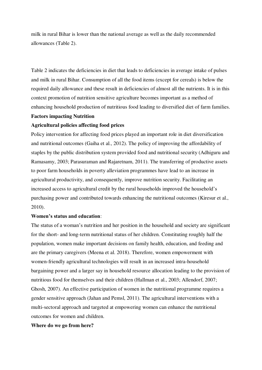milk in rural Bihar is lower than the national average as well as the daily recommended allowances (Table 2).

Table 2 indicates the deficiencies in diet that leads to deficiencies in average intake of pulses and milk in rural Bihar. Consumption of all the food items (except for cereals) is below the required daily allowance and these result in deficiencies of almost all the nutrients. It is in this context promotion of nutrition sensitive agriculture becomes important as a method of enhancing household production of nutritious food leading to diversified diet of farm families.

# **Factors impacting Nutrition**

# **Agricultural policies affecting food prices**

Policy intervention for affecting food prices played an important role in diet diversification and nutritional outcomes (Gaiha et al., 2012). The policy of improving the affordability of staples by the public distribution system provided food and nutritional security (Adhiguru and Ramasamy, 2003; Parasuraman and Rajaretnam, 2011). The transferring of productive assets to poor farm households in poverty alleviation programmes have lead to an increase in agricultural productivity, and consequently, improve nutrition security. Facilitating an increased access to agricultural credit by the rural households improved the household's purchasing power and contributed towards enhancing the nutritional outcomes (Kiresur et al., 2010).

## **Women's status and education**:

The status of a woman's nutrition and her position in the household and society are significant for the short- and long-term nutritional status of her children. Constituting roughly half the population, women make important decisions on family health, education, and feeding and are the primary caregivers (Meena et al. 2018). Therefore, women empowerment with women-friendly agricultural technologies will result in an increased intra-household bargaining power and a larger say in household resource allocation leading to the provision of nutritious food for themselves and their children (Hallman et al., 2003; Allendorf, 2007; Ghosh, 2007). An effective participation of women in the nutritional programme requires a gender sensitive approach (Jahan and Pemsl, 2011). The agricultural interventions with a multi-sectoral approach and targeted at empowering women can enhance the nutritional outcomes for women and children.

### **Where do we go from here?**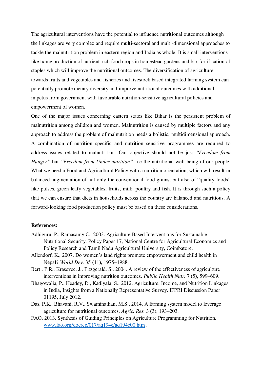The agricultural interventions have the potential to influence nutritional outcomes although the linkages are very complex and require multi-sectoral and multi-dimensional approaches to tackle the malnutrition problem in eastern region and India as whole. It is small interventions like home production of nutrient-rich food crops in homestead gardens and bio-fortification of staples which will improve the nutritional outcomes. The diversification of agriculture towards fruits and vegetables and fisheries and livestock based integrated farming system can potentially promote dietary diversity and improve nutritional outcomes with additional impetus from government with favourable nutrition-sensitive agricultural policies and empowerment of women.

One of the major issues concerning eastern states like Bihar is the persistent problem of malnutrition among children and women. Malnutrition is caused by multiple factors and any approach to address the problem of malnutrition needs a holistic, multidimensional approach. A combination of nutrition specific and nutrition sensitive programmes are required to address issues related to malnutrition. Our objective should not be just *"Freedom from Hunger"* but *"Freedom from Under-nutrition"* i.e the nutritional well-being of our people. What we need a Food and Agricultural Policy with a nutrition orientation, which will result in balanced augmentation of not only the conventional food grains, but also of "quality foods" like pulses, green leafy vegetables, fruits, milk, poultry and fish. It is through such a policy that we can ensure that diets in households across the country are balanced and nutritious. A forward-looking food production policy must be based on these considerations.

#### **References:**

- Adhiguru, P., Ramasamy C., 2003. Agriculture Based Interventions for Sustainable Nutritional Security. Policy Paper 17, National Centre for Agricultural Economics and Policy Research and Tamil Nadu Agricultural University, Coimbatore.
- Allendorf, K., 2007. Do women's land rights promote empowerment and child health in Nepal? *World Dev.* 35 (11), 1975–1988.
- Berti, P.R., Krasevec, J., Fitzgerald, S., 2004. A review of the effectiveness of agriculture interventions in improving nutrition outcomes. *Public Health Nutr.* 7 (5), 599–609.
- Bhagowalia, P., Headey, D., Kadiyala, S., 2012. Agriculture, Income, and Nutrition Linkages in India, Insights from a Nationally Representative Survey. IFPRI Discussion Paper 01195, July 2012.
- Das, P.K., Bhavani, R.V., Swaminathan, M.S., 2014. A farming system model to leverage agriculture for nutritional outcomes. *Agric. Res.* 3 (3), 193–203.
- FAO, 2013. Synthesis of Guiding Principles on Agriculture Programming for Nutrition. [www.fao.org/docrep/017/aq194e/aq194e00.htm](http://www.fao.org/docrep/017/aq194e/aq194e00.htm) .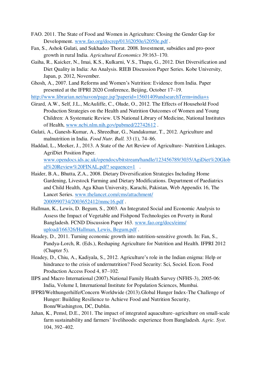- FAO. 2011. The State of Food and Women in Agriculture: Closing the Gender Gap for Development. [www.fao.org/docrep/013/i2050e/i2050e.pdf](http://www.fao.org/docrep/013/i2050e/i2050e.pdf) .
- Fan, S., Ashok Gulati, and Sukhadeo Thorat. 2008. Investment, subsidies and pro-poor growth in rural India. *Agricultural Economics* 39:163–170.
- Gaiha, R., Kaicker, N., Imai, K.S., Kulkarni, V.S., Thapa, G., 2012. Diet Diversification and Diet Quality in India: An Analysis. RIEB Discussion Paper Series. Kobe University, Japan, p. 2012, November.
- Ghosh, A., 2007. Land Reforms and Women's Nutrition: Evidence from India. Paper presented at the IFPRI 2020 Conference, Beijing, October 17–19.

<http://www.librarian.net/navon/page.jsp?paperid=15601409andsearchTerm=india+s>

- Girard, A.W., Self, J.L., McAuliffe, C., Olude, O., 2012. The Effects of Household Food Production Strategies on the Health and Nutrition Outcomes of Women and Young Children: A Systematic Review. US National Library of Medicine, National Institutes of Health, [www.ncbi.nlm.nih.gov/pubmed/22742612](http://www.ncbi.nlm.nih.gov/pubmed/22742612) .
- Gulati, A., Ganesh-Kumar, A., Shreedhar, G., Nandakumar, T., 2012. Agriculture and malnutrition in India. *Food Nutr. Bull.* 33 (1), 74–86.
- Haddad, L., Meeker, J., 2013. A State of the Art Review of Agriculture- Nutrition Linkages. AgriDiet Position Paper. [www.opendocs.ids.ac.uk/opendocs/bitstream/handle/123456789/3035/AgiDiet%20Glob](http://www.opendocs.ids.ac.uk/opendocs/bitstream/handle/123456789/3035/AgiDiet%20Global%20Review%20FINAL.pdf?%20sequence=1) [al%20Review%20FINAL.pdf? sequence=1](http://www.opendocs.ids.ac.uk/opendocs/bitstream/handle/123456789/3035/AgiDiet%20Global%20Review%20FINAL.pdf?%20sequence=1) .
- Haider, B.A., Bhutta, Z.A., 2008. Dietary Diversification Strategies Including Home Gardening, Livestock Farming and Dietary Modifications. Department of Paediatrics and Child Health, Aga Khan University, Karachi, Pakistan, Web Appendix 16, The Lancet Series. [www.thelancet.com/cms/attachment/](http://www.thelancet.com/cms/attachment/%202000990734/2003652412/mmc16.pdf)  [2000990734/2003652412/mmc16.pdf](http://www.thelancet.com/cms/attachment/%202000990734/2003652412/mmc16.pdf) .
- Hallman, K., Lewis, D. Begum, S., 2003. An Integrated Social and Economic Analysis to Assess the Impact of Vegetable and Fishpond Technologies on Poverty in Rural Bangladesh. FCND Discussion Paper 163. [www.fao.org/docs/eims/](http://www.fao.org/docs/eims/%20upload/166326/Hallman,%20Lewis,%20Begum.pdf)  [upload/166326/Hallman, Lewis, Begum.pdf](http://www.fao.org/docs/eims/%20upload/166326/Hallman,%20Lewis,%20Begum.pdf) .
- Headey, D., 2011. Turning economic growth into nutrition-sensitive growth. In: Fan, S., Pandya-Lorch, R. (Eds.), Reshaping Agriculture for Nutrition and Health. IFPRI 2012 (Chapter 5).
- Headey, D., Chiu, A., Kadiyala, S., 2012. Agriculture's role in the Indian enigma: Help or hindrance to the crisis of undernutrition? Food Security: Sci, Sociol. Econ. Food Production Access Food 4, 87–102.
- IIPS and Macro International (2007).National Family Health Survey (NFHS-3), 2005-06: India, Volume I, International Institute for Population Sciences, Mumbai.
- IFPRI/Welthungerhilfe/Concern Worldwide (2013).Global Hunger Index-The Challenge of Hunger: Building Resilience to Achieve Food and Nutrition Security, Bonn/Washington, DC, Dublin.
- Jahan, K., Pemsl, D.E., 2011. The impact of integrated aquaculture–agriculture on small-scale farm sustainability and farmers' livelihoods: experience from Bangladesh. *Agric. Syst*. 104, 392–402.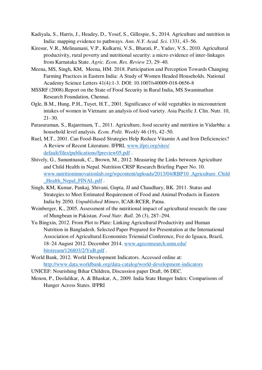- Kadiyala, S., Harris, J., Headey, D., Yosef, S., Gillespie, S., 2014. Agriculture and nutrition in India: mapping evidence to pathways. *Ann. N.Y. Acad. Sci.* 1331, 43–56.
- Kiresur, V.R., Melinamani, V.P., Kulkarni, V.S., Bharati, P., Yadav, V.S., 2010. Agricultural productivity, rural poverty and nutritional security: a micro evidence of inter-linkages from Karnataka State. *Agric. Econ. Res. Review* 23, 29–40.
- Meena, MS, Singh, KM, Meena, HM. 2018. Participation and Perception Towards Changing Farming Practices in Eastern India: A Study of Women Headed Households. National Academy Science Letters 41(4):1-3. DOI: 10.1007/s40009-018-0656-8
- MSSRF (2008).Report on the State of Food Security in Rural India, MS Swaminathan Research Foundation, Chennai.
- Ogle, B.M., Hung, P.H., Tuyet, H.T., 2001. Significance of wild vegetables in micronutrient intakes of women in Vietnam: an analysis of food variety. Asia Pacific J. Clin. Nutr. 10, 21–30.
- Parasuraman, S., Rajaretnam, T., 2011. Agriculture, food security and nutrition in Vidarbha: a household level analysis*. Econ. Polit. Weekly* 46 (19), 42–50.
- Ruel, M.T., 2001. Can Food-Based Strategies Help Reduce Vitamin A and Iron Deficiencies? A Review of Recent Literature. IFPRI, [www.ifpri.org/sites/](http://www.ifpri.org/sites/%20default/files/publications/fpreview05.pdf)  [default/files/publications/fpreview05.pdf](http://www.ifpri.org/sites/%20default/files/publications/fpreview05.pdf) .
- Shively, G., Sununtnasuk, C., Brown, M., 2012. Measuring the Links between Agriculture and Child Health in Nepal. Nutrition CRSP Research Briefing Paper No. 10. [www.nutritioninnovationlab.org/wpcontent/uploads/2013/04/RBP10\\_Agriculture\\_Child](http://www.nutritioninnovationlab.org/wpcontent/uploads/2013/04/RBP10_Agriculture_Child_Health_Nepal_FINAL.pdf) [\\_Health\\_Nepal\\_FINAL.pdf](http://www.nutritioninnovationlab.org/wpcontent/uploads/2013/04/RBP10_Agriculture_Child_Health_Nepal_FINAL.pdf) .
- Singh, KM, Kumar, Pankaj, Shivani, Gupta, JJ and Chaudhary, BK. 2011. Status and Strategies to Meet Estimated Requirement of Food and Animal Products in Eastern India by 2050*. Unpublished Mimeo*, ICAR-RCER, Patna.
- Weinberger, K., 2005. Assessment of the nutritional impact of agricultural research: the case of Mungbean in Pakistan. *Food Nutr. Bull.* 26 (3), 287–294.
- Yu Bingxin, 2012. From Plot to Plate: Linking Agricultural Productivity and Human Nutrition in Bangladesh. Selected Paper Prepared for Presentation at the International Association of Agricultural Economists Triennial Conference, Foz do Iguacu, Brazil, 18–24 August 2012. December 2014. [www.ageconsearch.umn.edu/](http://www.ageconsearch.umn.edu/%20bitstream/126803/2/YuB.pdf)  [bitstream/126803/2/YuB.pdf](http://www.ageconsearch.umn.edu/%20bitstream/126803/2/YuB.pdf) .
- World Bank, 2012. World Development Indicators. Accessed online at: <http://www.data.worldbank.org/data-catalog/world-development-indicators>
- UNICEF: Nourishing Bihar Children, Discussion paper Draft, 06 DEC.
- Menon, P., Deolalikar, A. & Bhaskar, A., 2009. India State Hunger Index: Comparisons of Hunger Across States. IFPRI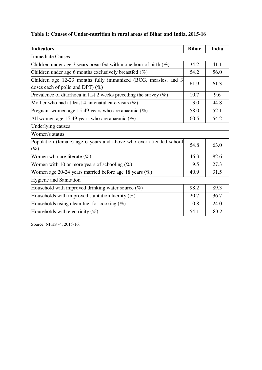| <b>Indicators</b>                                                                                     | <b>Bihar</b> | India |
|-------------------------------------------------------------------------------------------------------|--------------|-------|
| <b>Immediate Causes</b>                                                                               |              |       |
| Children under age 3 years breastfed within one hour of birth $(\%)$                                  | 34.2         | 41.1  |
| Children under age 6 months exclusively breastfed $(\%)$                                              | 54.2         | 56.0  |
| Children age 12-23 months fully immunized (BCG, measles, and 3<br>doses each of polio and DPT $)$ (%) | 61.9         | 61.3  |
| Prevalence of diarrhoea in last 2 weeks preceding the survey $(\%)$                                   | 10.7         | 9.6   |
| Mother who had at least 4 antenatal care visits $(\%)$                                                | 13.0         | 44.8  |
| Pregnant women age 15-49 years who are anaemic $(\%)$                                                 | 58.0         | 52.1  |
| All women age 15-49 years who are anaemic $(\%)$                                                      | 60.5         | 54.2  |
| Underlying causes                                                                                     |              |       |
| Women's status                                                                                        |              |       |
| Population (female) age 6 years and above who ever attended school<br>$(\%)$                          |              | 63.0  |
| Women who are literate $(\%)$                                                                         |              | 82.6  |
| Women with 10 or more years of schooling $(\%)$                                                       |              | 27.3  |
| Women age $20-24$ years married before age 18 years $(\%)$                                            | 40.9         | 31.5  |
| <b>Hygiene and Sanitation</b>                                                                         |              |       |
| Household with improved drinking water source $(\%)$                                                  | 98.2         | 89.3  |
| Households with improved sanitation facility $(\%)$                                                   | 20.7         | 36.7  |
| Households using clean fuel for cooking $(\%)$                                                        | 10.8         | 24.0  |
| Households with electricity $(\%)$                                                                    | 54.1         | .83.2 |

Source: NFHS -4, 2015-16.